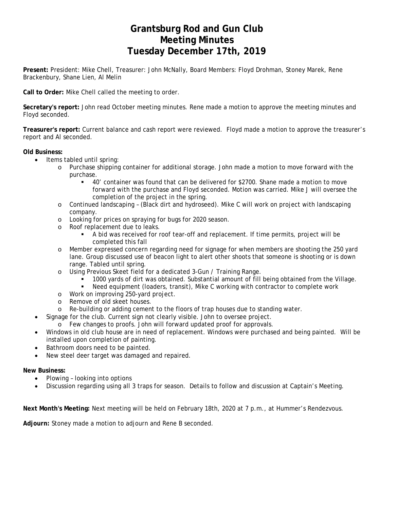# **Grantsburg Rod and Gun Club Meeting Minutes Tuesday December 17th, 2019**

**Present:** President: Mike Chell, Treasurer: John McNally, Board Members: Floyd Drohman, Stoney Marek, Rene Brackenbury, Shane Lien, Al Melin

**Call to Order:** Mike Chell called the meeting to order.

**Secretary's report:** John read October meeting minutes. Rene made a motion to approve the meeting minutes and Floyd seconded.

**Treasurer's report:** Current balance and cash report were reviewed. Floyd made a motion to approve the treasurer's report and Al seconded.

### **Old Business:**

- Items tabled until spring:
	- o Purchase shipping container for additional storage. John made a motion to move forward with the purchase.
		- 40' container was found that can be delivered for \$2700. Shane made a motion to move forward with the purchase and Floyd seconded. Motion was carried. Mike J will oversee the completion of the project in the spring.
	- o Continued landscaping (Black dirt and hydroseed). Mike C will work on project with landscaping company.
	- o Looking for prices on spraying for bugs for 2020 season.
	- o Roof replacement due to leaks.
		- A bid was received for roof tear-off and replacement. If time permits, project will be completed this fall
	- o Member expressed concern regarding need for signage for when members are shooting the 250 yard lane. Group discussed use of beacon light to alert other shoots that someone is shooting or is down range. Tabled until spring.
	- o Using Previous Skeet field for a dedicated 3-Gun / Training Range.
		- $\frac{1000}{1000}$  yards of dirt was obtained. Substantial amount of fill being obtained from the Village.<br>Deed equipment (loaders transit). Mike C working with contractor to complete work
		- Need equipment (loaders, transit), Mike C working with contractor to complete work
	- o Work on improving 250-yard project.
	- o Remove of old skeet houses.
	- o Re-building or adding cement to the floors of trap houses due to standing water.
- Signage for the club. Current sign not clearly visible. John to oversee project.
	- o Few changes to proofs. John will forward updated proof for approvals.
- Windows in old club house are in need of replacement. Windows were purchased and being painted. Will be installed upon completion of painting.
- Bathroom doors need to be painted.
- New steel deer target was damaged and repaired.

#### **New Business:**

- Plowing looking into options
- Discussion regarding using all 3 traps for season. Details to follow and discussion at Captain's Meeting.

**Next Month's Meeting:** Next meeting will be held on February 18th, 2020 at 7 p.m., at Hummer's Rendezvous.

**Adjourn:** Stoney made a motion to adjourn and Rene B seconded.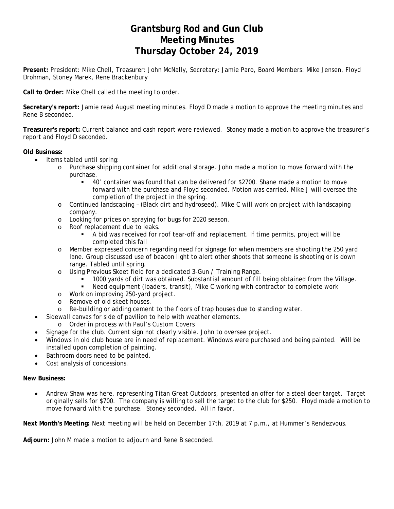# **Grantsburg Rod and Gun Club Meeting Minutes Thursday October 24, 2019**

**Present:** President: Mike Chell, Treasurer: John McNally, Secretary: Jamie Paro, Board Members: Mike Jensen, Floyd Drohman, Stoney Marek, Rene Brackenbury

**Call to Order:** Mike Chell called the meeting to order.

**Secretary's report:** Jamie read August meeting minutes. Floyd D made a motion to approve the meeting minutes and Rene B seconded.

**Treasurer's report:** Current balance and cash report were reviewed. Stoney made a motion to approve the treasurer's report and Floyd D seconded.

### **Old Business:**

- Items tabled until spring:
	- o Purchase shipping container for additional storage. John made a motion to move forward with the purchase.
		- 40' container was found that can be delivered for \$2700. Shane made a motion to move forward with the purchase and Floyd seconded. Motion was carried. Mike J will oversee the completion of the project in the spring.
	- o Continued landscaping (Black dirt and hydroseed). Mike C will work on project with landscaping company.
	- o Looking for prices on spraying for bugs for 2020 season.
	- o Roof replacement due to leaks.
		- A bid was received for roof tear-off and replacement. If time permits, project will be completed this fall
	- o Member expressed concern regarding need for signage for when members are shooting the 250 yard lane. Group discussed use of beacon light to alert other shoots that someone is shooting or is down range. Tabled until spring.
	- o Using Previous Skeet field for a dedicated 3-Gun / Training Range.
		- 1000 yards of dirt was obtained. Substantial amount of fill being obtained from the Village.<br>Deed equipment (loaders transit) Mike C working with contractor to complete work
		- Need equipment (loaders, transit), Mike C working with contractor to complete work
	- o Work on improving 250-yard project.
	- o Remove of old skeet houses.
	- o Re-building or adding cement to the floors of trap houses due to standing water.
	- Sidewall canvas for side of pavilion to help with weather elements.
	- o Order in process with Paul's Custom Covers
- Signage for the club. Current sign not clearly visible. John to oversee project.
- Windows in old club house are in need of replacement. Windows were purchased and being painted. Will be installed upon completion of painting.
- Bathroom doors need to be painted.
- Cost analysis of concessions.

### **New Business:**

 Andrew Shaw was here, representing Titan Great Outdoors, presented an offer for a steel deer target. Target originally sells for \$700. The company is willing to sell the target to the club for \$250. Floyd made a motion to move forward with the purchase. Stoney seconded. All in favor.

**Next Month's Meeting:** Next meeting will be held on December 17th, 2019 at 7 p.m., at Hummer's Rendezvous.

**Adjourn:** John M made a motion to adjourn and Rene B seconded.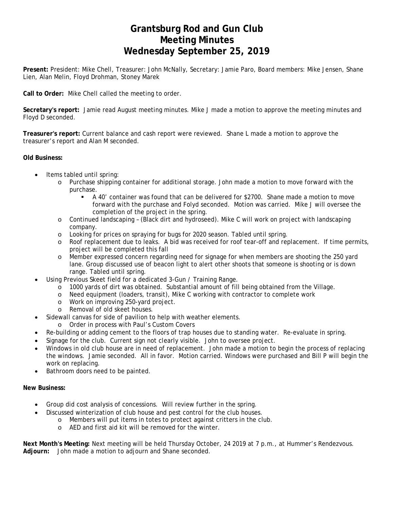# **Grantsburg Rod and Gun Club Meeting Minutes Wednesday September 25, 2019**

**Present:** President: Mike Chell, Treasurer: John McNally, Secretary: Jamie Paro, Board members: Mike Jensen, Shane Lien, Alan Melin, Floyd Drohman, Stoney Marek

**Call to Order:** Mike Chell called the meeting to order.

**Secretary's report:** Jamie read August meeting minutes. Mike J made a motion to approve the meeting minutes and Floyd D seconded.

**Treasurer's report:** Current balance and cash report were reviewed. Shane L made a motion to approve the treasurer's report and Alan M seconded.

### **Old Business:**

- Items tabled until spring:
	- o Purchase shipping container for additional storage. John made a motion to move forward with the purchase.
		- A 40' container was found that can be delivered for \$2700. Shane made a motion to move forward with the purchase and Folyd seconded. Motion was carried. Mike J will oversee the completion of the project in the spring.
	- o Continued landscaping (Black dirt and hydroseed). Mike C will work on project with landscaping company.
	- o Looking for prices on spraying for bugs for 2020 season. Tabled until spring.
	- o Roof replacement due to leaks. A bid was received for roof tear-off and replacement. If time permits, project will be completed this fall
	- o Member expressed concern regarding need for signage for when members are shooting the 250 yard lane. Group discussed use of beacon light to alert other shoots that someone is shooting or is down range. Tabled until spring.
- Using Previous Skeet field for a dedicated 3-Gun / Training Range.
	- o 1000 yards of dirt was obtained. Substantial amount of fill being obtained from the Village.
	- o Need equipment (loaders, transit), Mike C working with contractor to complete work
	- o Work on improving 250-yard project.
	- o Removal of old skeet houses.
	- Sidewall canvas for side of pavilion to help with weather elements.
	- o Order in process with Paul's Custom Covers
- Re-building or adding cement to the floors of trap houses due to standing water. Re-evaluate in spring.
- Signage for the club. Current sign not clearly visible. John to oversee project.
- Windows in old club house are in need of replacement. John made a motion to begin the process of replacing the windows. Jamie seconded. All in favor. Motion carried. Windows were purchased and Bill P will begin the work on replacing.
- Bathroom doors need to be painted.

#### **New Business:**

- Group did cost analysis of concessions. Will review further in the spring.
	- Discussed winterization of club house and pest control for the club houses.
		- o Members will put items in totes to protect against critters in the club.
		- o AED and first aid kit will be removed for the winter.

**Next Month's Meeting:** Next meeting will be held Thursday October, 24 2019 at 7 p.m., at Hummer's Rendezvous. **Adjourn:** John made a motion to adjourn and Shane seconded.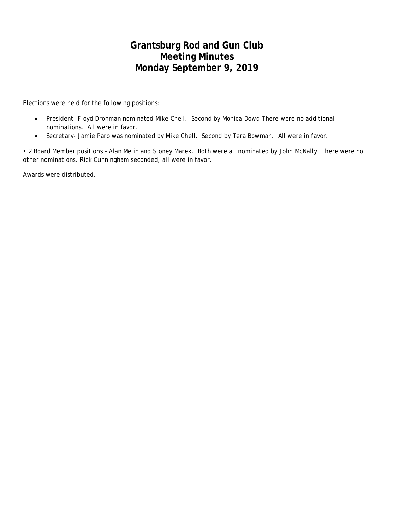# **Grantsburg Rod and Gun Club Meeting Minutes Monday September 9, 2019**

Elections were held for the following positions:

- President- Floyd Drohman nominated Mike Chell. Second by Monica Dowd There were no additional nominations. All were in favor.
- Secretary- Jamie Paro was nominated by Mike Chell. Second by Tera Bowman. All were in favor.

• 2 Board Member positions – Alan Melin and Stoney Marek. Both were all nominated by John McNally. There were no other nominations. Rick Cunningham seconded, all were in favor.

Awards were distributed.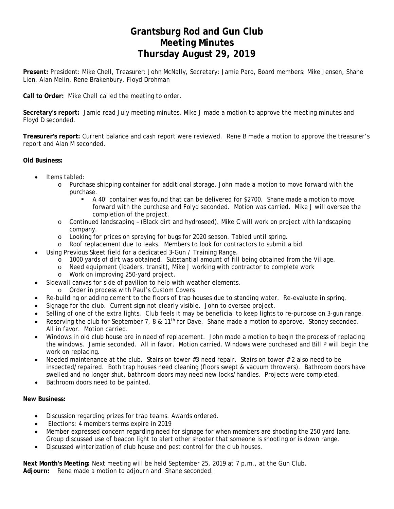# **Grantsburg Rod and Gun Club Meeting Minutes Thursday August 29, 2019**

**Present:** President: Mike Chell, Treasurer: John McNally, Secretary: Jamie Paro, Board members: Mike Jensen, Shane Lien, Alan Melin, Rene Brakenbury, Floyd Drohman

**Call to Order:** Mike Chell called the meeting to order.

**Secretary's report:** Jamie read July meeting minutes. Mike J made a motion to approve the meeting minutes and Floyd D seconded.

**Treasurer's report:** Current balance and cash report were reviewed. Rene B made a motion to approve the treasurer's report and Alan M seconded.

### **Old Business:**

- Items tabled:
	- o Purchase shipping container for additional storage. John made a motion to move forward with the purchase.
		- A 40' container was found that can be delivered for \$2700. Shane made a motion to move forward with the purchase and Folyd seconded. Motion was carried. Mike J will oversee the completion of the project.
	- o Continued landscaping (Black dirt and hydroseed). Mike C will work on project with landscaping company.
	- o Looking for prices on spraying for bugs for 2020 season. Tabled until spring.
	- o Roof replacement due to leaks. Members to look for contractors to submit a bid.
	- Using Previous Skeet field for a dedicated 3-Gun / Training Range.
		- o 1000 yards of dirt was obtained. Substantial amount of fill being obtained from the Village.
		- o Need equipment (loaders, transit), Mike J working with contractor to complete work
		- o Work on improving 250-yard project.
- Sidewall canvas for side of pavilion to help with weather elements.
	- o Order in process with Paul's Custom Covers
- Re-building or adding cement to the floors of trap houses due to standing water. Re-evaluate in spring.
- Signage for the club. Current sign not clearly visible. John to oversee project.
- Selling of one of the extra lights. Club feels it may be beneficial to keep lights to re-purpose on 3-gun range.
- Reserving the club for September 7, 8 & 11<sup>th</sup> for Dave. Shane made a motion to approve. Stoney seconded. All in favor. Motion carried.
- Windows in old club house are in need of replacement. John made a motion to begin the process of replacing the windows. Jamie seconded. All in favor. Motion carried. Windows were purchased and Bill P will begin the work on replacing.
- Needed maintenance at the club. Stairs on tower #3 need repair. Stairs on tower # 2 also need to be inspected/repaired. Both trap houses need cleaning (floors swept & vacuum throwers). Bathroom doors have swelled and no longer shut, bathroom doors may need new locks/handles. Projects were completed.
- Bathroom doors need to be painted.

#### **New Business:**

- Discussion regarding prizes for trap teams. Awards ordered.
- Elections: 4 members terms expire in 2019
- Member expressed concern regarding need for signage for when members are shooting the 250 yard lane. Group discussed use of beacon light to alert other shooter that someone is shooting or is down range.
- Discussed winterization of club house and pest control for the club houses.

**Next Month's Meeting:** Next meeting will be held September 25, 2019 at 7 p.m., at the Gun Club. **Adjourn:** Rene made a motion to adjourn and Shane seconded.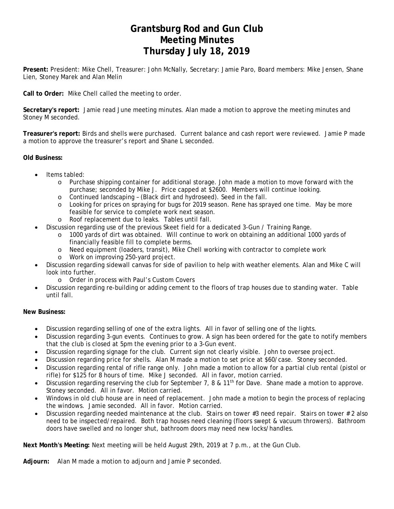# **Grantsburg Rod and Gun Club Meeting Minutes Thursday July 18, 2019**

**Present:** President: Mike Chell, Treasurer: John McNally, Secretary: Jamie Paro, Board members: Mike Jensen, Shane Lien, Stoney Marek and Alan Melin

**Call to Order:** Mike Chell called the meeting to order.

**Secretary's report:** Jamie read June meeting minutes. Alan made a motion to approve the meeting minutes and Stoney M seconded.

**Treasurer's report:** Birds and shells were purchased. Current balance and cash report were reviewed. Jamie P made a motion to approve the treasurer's report and Shane L seconded.

### **Old Business:**

- Items tabled:
	- o Purchase shipping container for additional storage. John made a motion to move forward with the purchase; seconded by Mike J. Price capped at \$2600. Members will continue looking.
	- o Continued landscaping (Black dirt and hydroseed). Seed in the fall.
	- o Looking for prices on spraying for bugs for 2019 season. Rene has sprayed one time. May be more feasible for service to complete work next season.
	- o Roof replacement due to leaks. Tables until fall.
- Discussion regarding use of the previous Skeet field for a dedicated 3-Gun / Training Range.
	- o 1000 yards of dirt was obtained. Will continue to work on obtaining an additional 1000 yards of financially feasible fill to complete berms.
	- o Need equipment (loaders, transit), Mike Chell working with contractor to complete work
	- o Work on improving 250-yard project.
- Discussion regarding sidewall canvas for side of pavilion to help with weather elements. Alan and Mike C will look into further.
	- o Order in process with Paul's Custom Covers
- Discussion regarding re-building or adding cement to the floors of trap houses due to standing water. Table until fall.

#### **New Business:**

- Discussion regarding selling of one of the extra lights. All in favor of selling one of the lights.
- Discussion regarding 3-gun events. Continues to grow. A sign has been ordered for the gate to notify members that the club is closed at 5pm the evening prior to a 3-Gun event.
- Discussion regarding signage for the club. Current sign not clearly visible. John to oversee project.
- Discussion regarding price for shells. Alan M made a motion to set price at \$60/case. Stoney seconded.
- Discussion regarding rental of rifle range only. John made a motion to allow for a partial club rental (pistol or rifle) for \$125 for 8 hours of time. Mike J seconded. All in favor, motion carried.
- Discussion regarding reserving the club for September 7, 8 & 11<sup>th</sup> for Dave. Shane made a motion to approve. Stoney seconded. All in favor. Motion carried.
- Windows in old club house are in need of replacement. John made a motion to begin the process of replacing the windows. Jamie seconded. All in favor. Motion carried.
- Discussion regarding needed maintenance at the club. Stairs on tower #3 need repair. Stairs on tower # 2 also need to be inspected/repaired. Both trap houses need cleaning (floors swept & vacuum throwers). Bathroom doors have swelled and no longer shut, bathroom doors may need new locks/handles.

**Next Month's Meeting:** Next meeting will be held August 29th, 2019 at 7 p.m., at the Gun Club.

**Adjourn:** Alan M made a motion to adjourn and Jamie P seconded.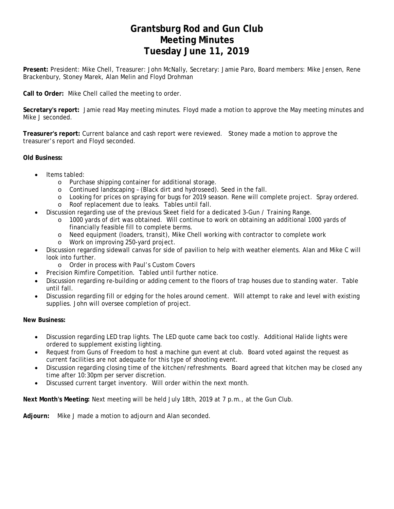# **Grantsburg Rod and Gun Club Meeting Minutes Tuesday June 11, 2019**

**Present:** President: Mike Chell, Treasurer: John McNally, Secretary: Jamie Paro, Board members: Mike Jensen, Rene Brackenbury, Stoney Marek, Alan Melin and Floyd Drohman

**Call to Order:** Mike Chell called the meeting to order.

**Secretary's report:** Jamie read May meeting minutes. Floyd made a motion to approve the May meeting minutes and Mike J seconded.

**Treasurer's report:** Current balance and cash report were reviewed. Stoney made a motion to approve the treasurer's report and Floyd seconded.

### **Old Business:**

- Items tabled:
	- o Purchase shipping container for additional storage.
	- o Continued landscaping (Black dirt and hydroseed). Seed in the fall.
	- o Looking for prices on spraying for bugs for 2019 season. Rene will complete project. Spray ordered.
	- o Roof replacement due to leaks. Tables until fall.
- Discussion regarding use of the previous Skeet field for a dedicated 3-Gun / Training Range.
	- o 1000 yards of dirt was obtained. Will continue to work on obtaining an additional 1000 yards of financially feasible fill to complete berms.
	- o Need equipment (loaders, transit), Mike Chell working with contractor to complete work
	- o Work on improving 250-yard project.
- Discussion regarding sidewall canvas for side of pavilion to help with weather elements. Alan and Mike C will look into further.
	- o Order in process with Paul's Custom Covers
	- Precision Rimfire Competition. Tabled until further notice.
- Discussion regarding re-building or adding cement to the floors of trap houses due to standing water. Table until fall.
- Discussion regarding fill or edging for the holes around cement. Will attempt to rake and level with existing supplies. John will oversee completion of project.

**New Business:** 

- Discussion regarding LED trap lights. The LED quote came back too costly. Additional Halide lights were ordered to supplement existing lighting.
- Request from Guns of Freedom to host a machine gun event at club. Board voted against the request as current facilities are not adequate for this type of shooting event.
- Discussion regarding closing time of the kitchen/refreshments. Board agreed that kitchen may be closed any time after 10:30pm per server discretion.
- Discussed current target inventory. Will order within the next month.

**Next Month's Meeting:** Next meeting will be held July 18th, 2019 at 7 p.m., at the Gun Club.

**Adjourn:** Mike J made a motion to adjourn and Alan seconded.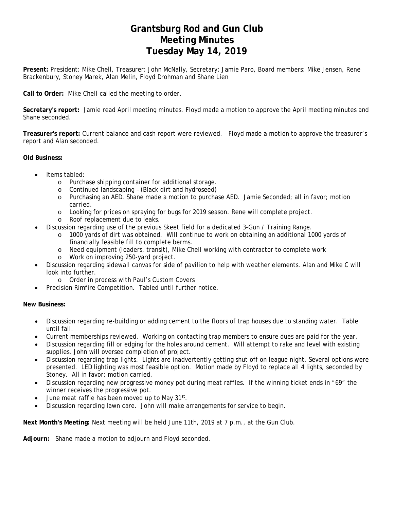# **Grantsburg Rod and Gun Club Meeting Minutes Tuesday May 14, 2019**

**Present:** President: Mike Chell, Treasurer: John McNally, Secretary: Jamie Paro, Board members: Mike Jensen, Rene Brackenbury, Stoney Marek, Alan Melin, Floyd Drohman and Shane Lien

**Call to Order:** Mike Chell called the meeting to order.

**Secretary's report:** Jamie read April meeting minutes. Floyd made a motion to approve the April meeting minutes and Shane seconded.

**Treasurer's report:** Current balance and cash report were reviewed. Floyd made a motion to approve the treasurer's report and Alan seconded.

### **Old Business:**

- Items tabled:
	- o Purchase shipping container for additional storage.
	- o Continued landscaping (Black dirt and hydroseed)
	- o Purchasing an AED. Shane made a motion to purchase AED. Jamie Seconded; all in favor; motion carried.
	- o Looking for prices on spraying for bugs for 2019 season. Rene will complete project.
	- o Roof replacement due to leaks.
- Discussion regarding use of the previous Skeet field for a dedicated 3-Gun / Training Range.
	- o 1000 yards of dirt was obtained. Will continue to work on obtaining an additional 1000 yards of financially feasible fill to complete berms.
	- o Need equipment (loaders, transit), Mike Chell working with contractor to complete work
	- o Work on improving 250-yard project.
- Discussion regarding sidewall canvas for side of pavilion to help with weather elements. Alan and Mike C will look into further.
	- o Order in process with Paul's Custom Covers
- Precision Rimfire Competition. Tabled until further notice.

### **New Business:**

- Discussion regarding re-building or adding cement to the floors of trap houses due to standing water. Table until fall.
- Current memberships reviewed. Working on contacting trap members to ensure dues are paid for the year.
- Discussion regarding fill or edging for the holes around cement. Will attempt to rake and level with existing supplies. John will oversee completion of project.
- Discussion regarding trap lights. Lights are inadvertently getting shut off on league night. Several options were presented. LED lighting was most feasible option. Motion made by Floyd to replace all 4 lights, seconded by Stoney. All in favor; motion carried.
- Discussion regarding new progressive money pot during meat raffles. If the winning ticket ends in "69" the winner receives the progressive pot.
- $\bullet$  June meat raffle has been moved up to May 31st.
- Discussion regarding lawn care. John will make arrangements for service to begin.

**Next Month's Meeting:** Next meeting will be held June 11th, 2019 at 7 p.m., at the Gun Club.

**Adjourn:** Shane made a motion to adjourn and Floyd seconded.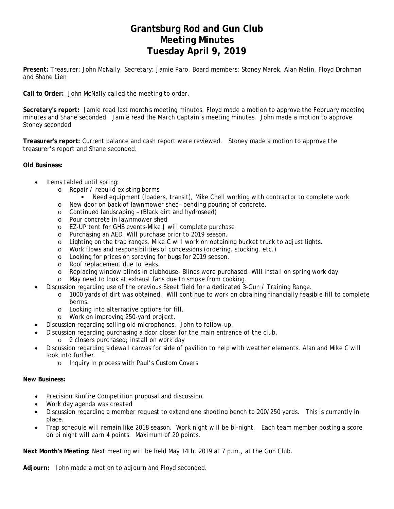# **Grantsburg Rod and Gun Club Meeting Minutes Tuesday April 9, 2019**

**Present:** Treasurer: John McNally, Secretary: Jamie Paro, Board members: Stoney Marek, Alan Melin, Floyd Drohman and Shane Lien

**Call to Order:** John McNally called the meeting to order.

**Secretary's report:** Jamie read last month's meeting minutes. Floyd made a motion to approve the February meeting minutes and Shane seconded. Jamie read the March Captain's meeting minutes. John made a motion to approve. Stoney seconded

**Treasurer's report:** Current balance and cash report were reviewed. Stoney made a motion to approve the treasurer's report and Shane seconded.

**Old Business:**

- Items tabled until spring:
	- o Repair / rebuild existing berms
		- Need equipment (loaders, transit), Mike Chell working with contractor to complete work
	- o New door on back of lawnmower shed- pending pouring of concrete.
	- o Continued landscaping (Black dirt and hydroseed)
	- o Pour concrete in lawnmower shed
	- o EZ-UP tent for GHS events-Mike J will complete purchase
	- o Purchasing an AED. Will purchase prior to 2019 season.
	- o Lighting on the trap ranges. Mike C will work on obtaining bucket truck to adjust lights.
	- o Work flows and responsibilities of concessions (ordering, stocking, etc.)
	- o Looking for prices on spraying for bugs for 2019 season.
	- o Roof replacement due to leaks.
	- o Replacing window blinds in clubhouse- Blinds were purchased. Will install on spring work day.
	- o May need to look at exhaust fans due to smoke from cooking.
- Discussion regarding use of the previous Skeet field for a dedicated 3-Gun / Training Range.
	- o 1000 yards of dirt was obtained. Will continue to work on obtaining financially feasible fill to complete berms.
	- o Looking into alternative options for fill.
	- o Work on improving 250-yard project.
- Discussion regarding selling old microphones. John to follow-up.
- Discussion regarding purchasing a door closer for the main entrance of the club.
	- o 2 closers purchased; install on work day
- Discussion regarding sidewall canvas for side of pavilion to help with weather elements. Alan and Mike C will look into further.
	- o Inquiry in process with Paul's Custom Covers

#### **New Business:**

- Precision Rimfire Competition proposal and discussion.
- Work day agenda was created
- Discussion regarding a member request to extend one shooting bench to 200/250 yards. This is currently in place.
- Trap schedule will remain like 2018 season. Work night will be bi-night. Each team member posting a score on bi night will earn 4 points. Maximum of 20 points.

**Next Month's Meeting:** Next meeting will be held May 14th, 2019 at 7 p.m., at the Gun Club.

**Adjourn:** John made a motion to adjourn and Floyd seconded.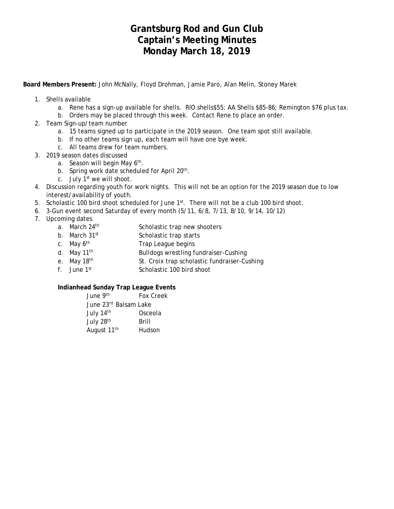## **Grantsburg Rod and Gun Club Captain's Meeting Minutes Monday March 18, 2019**

**Board Members Present:** John McNally, Floyd Drohman, Jamie Paro, Alan Melin, Stoney Marek

- 1. Shells available
	- a. Rene has a sign-up available for shells. RIO shells\$55; AA Shells \$85-86; Remington \$76 plus tax.
	- b. Orders may be placed through this week. Contact Rene to place an order.
- 2. Team Sign-up/team number
	- a. 15 teams signed up to participate in the 2019 season. One team spot still available.
	- b. If no other teams sign up, each team will have one bye week.
	- c. All teams drew for team numbers.
- 3. 2019 season dates discussed
	- a. Season will begin May 6<sup>th</sup>.
	- b. Spring work date scheduled for April 20<sup>th</sup>.
	- c. July  $1<sup>st</sup>$  we will shoot.
- 4. Discussion regarding youth for work nights. This will not be an option for the 2019 season due to low interest/availability of youth.
- 5. Scholastic 100 bird shoot scheduled for June 1st. There will not be a club 100 bird shoot.
- 6. 3-Gun event second Saturday of every month (5/11, 6/8, 7/13, 8/10, 9/14, 10/12)
- 7. Upcoming dates
	- a. March 24<sup>th</sup> Scholastic trap new shooters
	- b. March 31<sup>st</sup> Scholastic trap starts
	- c. May 6<sup>th</sup> Trap League begins
	- d. May 11<sup>th</sup> Bulldogs wrestling fundraiser-Cushing
	- e. May 18<sup>th</sup> St. Croix trap scholastic fundraiser-Cushing
	- f. June 1st Scholastic 100 bird shoot

### **Indianhead Sunday Trap League Events**

| June 9th                | Fox Creek             |
|-------------------------|-----------------------|
|                         | June 23rd Balsam Lake |
| July 14th               | Osceola               |
| July 28th               | Brill                 |
| August 11 <sup>th</sup> | Hudson                |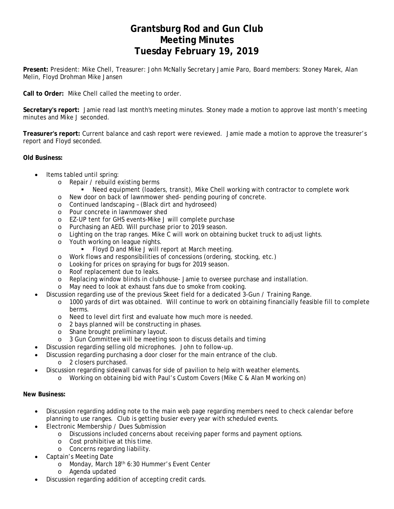# **Grantsburg Rod and Gun Club Meeting Minutes Tuesday February 19, 2019**

**Present:** President: Mike Chell, Treasurer: John McNally Secretary Jamie Paro, Board members: Stoney Marek, Alan Melin, Floyd Drohman Mike Jansen

**Call to Order:** Mike Chell called the meeting to order.

**Secretary's report:** Jamie read last month's meeting minutes. Stoney made a motion to approve last month's meeting minutes and Mike J seconded.

**Treasurer's report:** Current balance and cash report were reviewed. Jamie made a motion to approve the treasurer's report and Floyd seconded.

### **Old Business:**

- Items tabled until spring:
	- o Repair / rebuild existing berms
		- Need equipment (loaders, transit), Mike Chell working with contractor to complete work
	- o New door on back of lawnmower shed- pending pouring of concrete.
	- o Continued landscaping (Black dirt and hydroseed)
	- o Pour concrete in lawnmower shed
	- o EZ-UP tent for GHS events-Mike J will complete purchase
	- o Purchasing an AED. Will purchase prior to 2019 season.
	- o Lighting on the trap ranges. Mike C will work on obtaining bucket truck to adjust lights.
	- o Youth working on league nights.
		- Floyd D and Mike J will report at March meeting.
	- o Work flows and responsibilities of concessions (ordering, stocking, etc.)
	- o Looking for prices on spraying for bugs for 2019 season.
	- o Roof replacement due to leaks.
	- o Replacing window blinds in clubhouse- Jamie to oversee purchase and installation.
	- o May need to look at exhaust fans due to smoke from cooking.
	- Discussion regarding use of the previous Skeet field for a dedicated 3-Gun / Training Range.
		- o 1000 yards of dirt was obtained. Will continue to work on obtaining financially feasible fill to complete berms.
		- o Need to level dirt first and evaluate how much more is needed.
		- o 2 bays planned will be constructing in phases.
		- o Shane brought preliminary layout.
		- o 3 Gun Committee will be meeting soon to discuss details and timing
	- Discussion regarding selling old microphones. John to follow-up.
- Discussion regarding purchasing a door closer for the main entrance of the club.
	- o 2 closers purchased.
	- Discussion regarding sidewall canvas for side of pavilion to help with weather elements.
		- o Working on obtaining bid with Paul's Custom Covers (Mike C & Alan M working on)

### **New Business:**

- Discussion regarding adding note to the main web page regarding members need to check calendar before planning to use ranges. Club is getting busier every year with scheduled events.
- Electronic Membership / Dues Submission
	- o Discussions included concerns about receiving paper forms and payment options.
	- o Cost prohibitive at this time.
	- o Concerns regarding liability.
- Captain's Meeting Date
	- o Monday, March 18<sup>th</sup> 6:30 Hummer's Event Center
	- o Agenda updated
- Discussion regarding addition of accepting credit cards.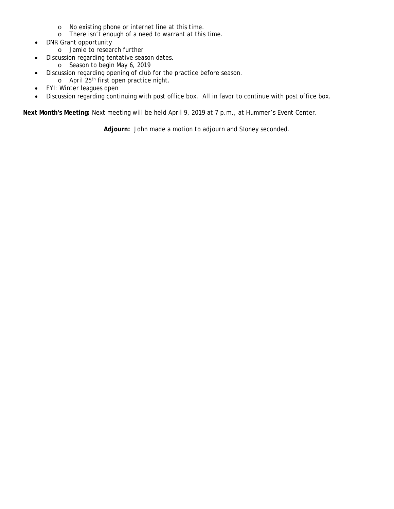- o No existing phone or internet line at this time.
- o There isn't enough of a need to warrant at this time.
- DNR Grant opportunity
	- o Jamie to research further
- Discussion regarding tentative season dates.
	- o Season to begin May 6, 2019
- Discussion regarding opening of club for the practice before season.
	- o April 25th first open practice night.
- FYI: Winter leagues open
- Discussion regarding continuing with post office box. All in favor to continue with post office box.

**Next Month's Meeting:** Next meeting will be held April 9, 2019 at 7 p.m., at Hummer's Event Center.

**Adjourn:** John made a motion to adjourn and Stoney seconded.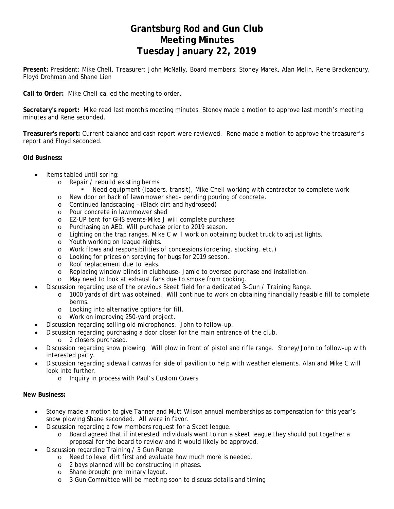# **Grantsburg Rod and Gun Club Meeting Minutes Tuesday January 22, 2019**

**Present:** President: Mike Chell, Treasurer: John McNally, Board members: Stoney Marek, Alan Melin, Rene Brackenbury, Floyd Drohman and Shane Lien

**Call to Order:** Mike Chell called the meeting to order.

**Secretary's report:** Mike read last month's meeting minutes. Stoney made a motion to approve last month's meeting minutes and Rene seconded.

**Treasurer's report:** Current balance and cash report were reviewed. Rene made a motion to approve the treasurer's report and Floyd seconded.

### **Old Business:**

- Items tabled until spring:
	- o Repair / rebuild existing berms
		- Need equipment (loaders, transit), Mike Chell working with contractor to complete work
	- o New door on back of lawnmower shed- pending pouring of concrete.
	- o Continued landscaping (Black dirt and hydroseed)
	- o Pour concrete in lawnmower shed
	- o EZ-UP tent for GHS events-Mike J will complete purchase
	- o Purchasing an AED. Will purchase prior to 2019 season.
	- o Lighting on the trap ranges. Mike C will work on obtaining bucket truck to adjust lights.
	- o Youth working on league nights.
	- o Work flows and responsibilities of concessions (ordering, stocking, etc.)
	- o Looking for prices on spraying for bugs for 2019 season.
	- o Roof replacement due to leaks.
	- o Replacing window blinds in clubhouse- Jamie to oversee purchase and installation.
	- o May need to look at exhaust fans due to smoke from cooking.
- Discussion regarding use of the previous Skeet field for a dedicated 3-Gun / Training Range.
	- o 1000 yards of dirt was obtained. Will continue to work on obtaining financially feasible fill to complete berms.
	- o Looking into alternative options for fill.
	- o Work on improving 250-yard project.
- Discussion regarding selling old microphones. John to follow-up.
- Discussion regarding purchasing a door closer for the main entrance of the club.
	- o 2 closers purchased.
- Discussion regarding snow plowing. Will plow in front of pistol and rifle range. Stoney/John to follow-up with interested party.
- Discussion regarding sidewall canvas for side of pavilion to help with weather elements. Alan and Mike C will look into further.
	- o Inquiry in process with Paul's Custom Covers

#### **New Business:**

- Stoney made a motion to give Tanner and Mutt Wilson annual memberships as compensation for this year's snow plowing Shane seconded. All were in favor.
- Discussion regarding a few members request for a Skeet league.
	- o Board agreed that if interested individuals want to run a skeet league they should put together a proposal for the board to review and it would likely be approved.
- Discussion regarding Training / 3 Gun Range
	- o Need to level dirt first and evaluate how much more is needed.
	- o 2 bays planned will be constructing in phases.
	- o Shane brought preliminary layout.
	- o 3 Gun Committee will be meeting soon to discuss details and timing